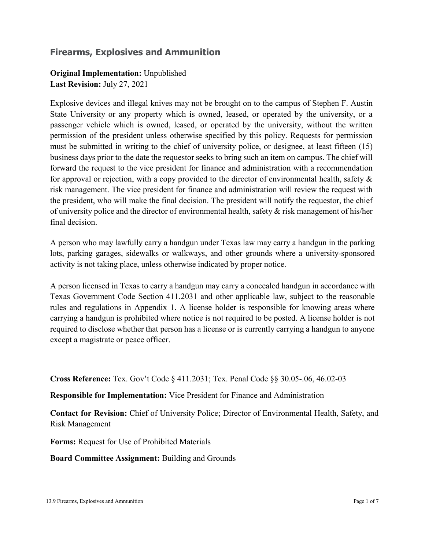## **Firearms, Explosives and Ammunition**

## **Original Implementation:** Unpublished

**Last Revision:** July 27, 2021

Explosive devices and illegal knives may not be brought on to the campus of Stephen F. Austin State University or any property which is owned, leased, or operated by the university, or a passenger vehicle which is owned, leased, or operated by the university, without the written permission of the president unless otherwise specified by this policy. Requests for permission must be submitted in writing to the chief of university police, or designee, at least fifteen (15) business days prior to the date the requestor seeks to bring such an item on campus. The chief will forward the request to the vice president for finance and administration with a recommendation for approval or rejection, with a copy provided to the director of environmental health, safety  $\&$ risk management. The vice president for finance and administration will review the request with the president, who will make the final decision. The president will notify the requestor, the chief of university police and the director of environmental health, safety  $\&$  risk management of his/her final decision.

A person who may lawfully carry a handgun under Texas law may carry a handgun in the parking lots, parking garages, sidewalks or walkways, and other grounds where a university-sponsored activity is not taking place, unless otherwise indicated by proper notice.

A person licensed in Texas to carry a handgun may carry a concealed handgun in accordance with Texas Government Code Section 411.2031 and other applicable law, subject to the reasonable rules and regulations in Appendix 1. A license holder is responsible for knowing areas where carrying a handgun is prohibited where notice is not required to be posted. A license holder is not required to disclose whether that person has a license or is currently carrying a handgun to anyone except a magistrate or peace officer.

**Cross Reference:** Tex. Gov't Code § 411.2031; Tex. Penal Code §§ 30.05-.06, 46.02-03

**Responsible for Implementation:** Vice President for Finance and Administration

**Contact for Revision:** Chief of University Police; Director of Environmental Health, Safety, and Risk Management

**Forms:** Request for Use of Prohibited Materials

**Board Committee Assignment:** Building and Grounds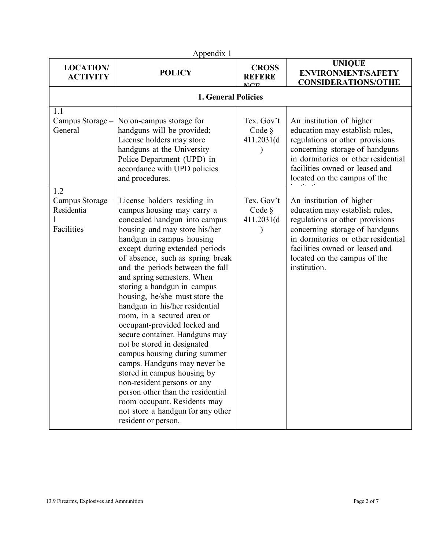| Appendix 1                                          |                                                                                                                                                                                                                                                                                                                                                                                                                                                                                                                                                                                                                                                                                                                                                                                                   |                                        |                                                                                                                                                                                                                                                          |  |  |
|-----------------------------------------------------|---------------------------------------------------------------------------------------------------------------------------------------------------------------------------------------------------------------------------------------------------------------------------------------------------------------------------------------------------------------------------------------------------------------------------------------------------------------------------------------------------------------------------------------------------------------------------------------------------------------------------------------------------------------------------------------------------------------------------------------------------------------------------------------------------|----------------------------------------|----------------------------------------------------------------------------------------------------------------------------------------------------------------------------------------------------------------------------------------------------------|--|--|
| <b>LOCATION/</b><br><b>ACTIVITY</b>                 | <b>POLICY</b>                                                                                                                                                                                                                                                                                                                                                                                                                                                                                                                                                                                                                                                                                                                                                                                     | <b>CROSS</b><br><b>REFERE</b>          | <b>UNIQUE</b><br><b>ENVIRONMENT/SAFETY</b><br><b>CONSIDERATIONS/OTHE</b>                                                                                                                                                                                 |  |  |
|                                                     | <b>1. General Policies</b>                                                                                                                                                                                                                                                                                                                                                                                                                                                                                                                                                                                                                                                                                                                                                                        |                                        |                                                                                                                                                                                                                                                          |  |  |
| 1.1<br>Campus Storage -<br>General                  | No on-campus storage for<br>handguns will be provided;<br>License holders may store<br>handguns at the University<br>Police Department (UPD) in<br>accordance with UPD policies<br>and procedures.                                                                                                                                                                                                                                                                                                                                                                                                                                                                                                                                                                                                | Tex. Gov't<br>Code $\S$<br>411.2031(d) | An institution of higher<br>education may establish rules,<br>regulations or other provisions<br>concerning storage of handguns<br>in dormitories or other residential<br>facilities owned or leased and<br>located on the campus of the                 |  |  |
| 1.2<br>Campus Storage -<br>Residentia<br>Facilities | License holders residing in<br>campus housing may carry a<br>concealed handgun into campus<br>housing and may store his/her<br>handgun in campus housing<br>except during extended periods<br>of absence, such as spring break<br>and the periods between the fall<br>and spring semesters. When<br>storing a handgun in campus<br>housing, he/she must store the<br>handgun in his/her residential<br>room, in a secured area or<br>occupant-provided locked and<br>secure container. Handguns may<br>not be stored in designated<br>campus housing during summer<br>camps. Handguns may never be<br>stored in campus housing by<br>non-resident persons or any<br>person other than the residential<br>room occupant. Residents may<br>not store a handgun for any other<br>resident or person. | Tex. Gov't<br>Code §<br>411.2031(d)    | An institution of higher<br>education may establish rules,<br>regulations or other provisions<br>concerning storage of handguns<br>in dormitories or other residential<br>facilities owned or leased and<br>located on the campus of the<br>institution. |  |  |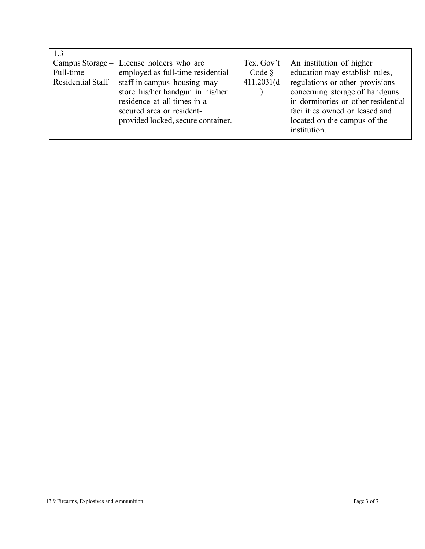| 1.3<br>Campus Storage $-$<br>Full-time<br>Residential Staff | License holders who are<br>employed as full-time residential<br>staff in campus housing may<br>store his/her handgun in his/her<br>residence at all times in a<br>secured area or resident-<br>provided locked, secure container. | Tex. Gov't<br>Code $\S$<br>411.2031(d) | An institution of higher<br>education may establish rules,<br>regulations or other provisions<br>concerning storage of handguns<br>in dormitories or other residential<br>facilities owned or leased and<br>located on the campus of the<br>institution. |
|-------------------------------------------------------------|-----------------------------------------------------------------------------------------------------------------------------------------------------------------------------------------------------------------------------------|----------------------------------------|----------------------------------------------------------------------------------------------------------------------------------------------------------------------------------------------------------------------------------------------------------|
|                                                             |                                                                                                                                                                                                                                   |                                        |                                                                                                                                                                                                                                                          |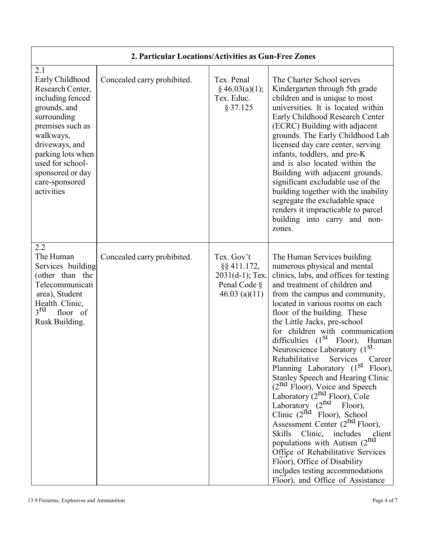| 2.1<br>Early Childhood<br>Research Center,<br>including fenced<br>grounds, and<br>surrounding<br>premises such as<br>walkways,<br>driveways, and<br>parking lots when<br>used for school-<br>sponsored or day<br>care-sponsored<br>activities | Concealed carry prohibited. | Tex. Penal<br>$§$ 46.03(a)(1);<br>Tex. Educ.<br>§ 37.125                           | The Charter School serves<br>Kindergarten through 5th grade<br>children and is unique to most<br>universities. It is located within<br>Early Childhood Research Center<br>(ECRC) Building with adjacent<br>grounds. The Early Childhood Lab<br>licensed day care center, serving<br>infants, toddlers, and pre-K<br>and is also located within the<br>Building with adjacent grounds.<br>significant excludable use of the<br>building together with the inability<br>segregate the excludable space<br>renders it impracticable to parcel<br>building into carry and non-<br>zones.                                                                                                                                                                                                                                                                                                                                                              |  |  |
|-----------------------------------------------------------------------------------------------------------------------------------------------------------------------------------------------------------------------------------------------|-----------------------------|------------------------------------------------------------------------------------|---------------------------------------------------------------------------------------------------------------------------------------------------------------------------------------------------------------------------------------------------------------------------------------------------------------------------------------------------------------------------------------------------------------------------------------------------------------------------------------------------------------------------------------------------------------------------------------------------------------------------------------------------------------------------------------------------------------------------------------------------------------------------------------------------------------------------------------------------------------------------------------------------------------------------------------------------|--|--|
| 2.2<br>The Human<br>Services building<br>(other than the<br>Telecommunicati<br>area), Student<br>Health Clinic,<br>$3^{rd}$<br>floor of<br>Rusk Building.                                                                                     | Concealed carry prohibited. | Tex. Gov't<br>§§411.172,<br>$2031(d-1)$ ; Tex.<br>Penal Code §<br>46.03 (a) $(11)$ | The Human Services building<br>numerous physical and mental<br>clinics, labs, and offices for testing<br>and treatment of children and<br>from the campus and community,<br>located in various rooms on each<br>floor of the building. These<br>the Little Jacks, pre-school<br>for children with communication<br>difficulties $(1st$ Floor), Human<br>Neuroscience Laboratory (1 <sup>St</sup><br>Rehabilitative<br>Services<br>Career<br>Planning Laboratory (1 <sup>st</sup> Floor),<br><b>Stanley Speech and Hearing Clinic</b><br>$(2^{nd}$ Floor), Voice and Speech<br>Laboratory $(2^{nd}$ Floor), Cole<br>Laboratory $(2^{nd}$ Floor),<br>Clinic $(2^{nd}$ Floor), School<br>Assessment Center (2 <sup>nd</sup> Floor),<br>Skills Clinic, includes<br>client<br>populations with Autism (2nd<br>Office of Rehabilitative Services<br>Floor), Office of Disability<br>includes testing accommodations<br>Floor), and Office of Assistance |  |  |

## **2. Particular Locations/Activities as Gun-Free Zones**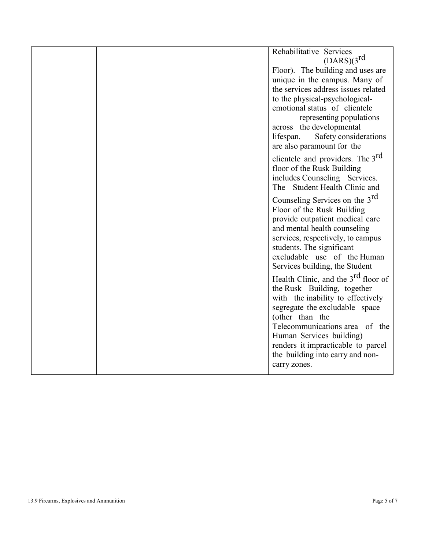|  | Rehabilitative Services<br>(DARS)(3 <sup>rd</sup> )<br>Floor). The building and uses are<br>unique in the campus. Many of<br>the services address issues related<br>to the physical-psychological-<br>emotional status of clientele<br>representing populations<br>across the developmental<br>Safety considerations<br>lifespan.<br>are also paramount for the                                                                                                                                                                                                                                                                                                                                                                                          |
|--|----------------------------------------------------------------------------------------------------------------------------------------------------------------------------------------------------------------------------------------------------------------------------------------------------------------------------------------------------------------------------------------------------------------------------------------------------------------------------------------------------------------------------------------------------------------------------------------------------------------------------------------------------------------------------------------------------------------------------------------------------------|
|  | clientele and providers. The 3 <sup>rd</sup><br>floor of the Rusk Building<br>includes Counseling Services.<br>The Student Health Clinic and<br>Counseling Services on the 3 <sup>rd</sup><br>Floor of the Rusk Building<br>provide outpatient medical care<br>and mental health counseling<br>services, respectively, to campus<br>students. The significant<br>excludable use of the Human<br>Services building, the Student<br>Health Clinic, and the $3rd$ floor of<br>the Rusk Building, together<br>with the inability to effectively<br>segregate the excludable space<br>(other than the<br>Telecommunications area of the<br>Human Services building)<br>renders it impracticable to parcel<br>the building into carry and non-<br>carry zones. |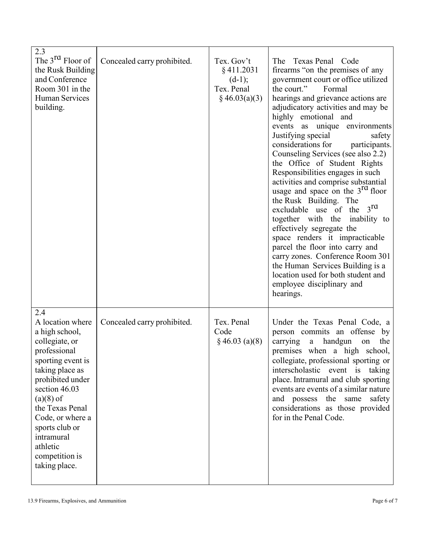| 2.3<br>The 3 <sup>rd</sup> Floor of<br>the Rusk Building<br>and Conference<br>Room 301 in the<br><b>Human Services</b><br>building.                                                                                                                                                           | Concealed carry prohibited. | Tex. Gov't<br>$§$ 411.2031<br>$(d-1);$<br>Tex. Penal<br>$§$ 46.03(a)(3) | The Texas Penal Code<br>firearms "on the premises of any<br>government court or office utilized<br>the court."<br>Formal<br>hearings and grievance actions are<br>adjudicatory activities and may be<br>highly emotional and<br>events as unique environments<br>Justifying special<br>safety<br>considerations for<br>participants.<br>Counseling Services (see also 2.2)<br>the Office of Student Rights<br>Responsibilities engages in such<br>activities and comprise substantial<br>usage and space on the 3 <sup>rd</sup> floor<br>the Rusk Building. The<br>3 <sup>rd</sup><br>excludable use of the<br>together with the inability to<br>effectively segregate the<br>space renders it impracticable<br>parcel the floor into carry and<br>carry zones. Conference Room 301<br>the Human Services Building is a<br>location used for both student and<br>employee disciplinary and<br>hearings. |
|-----------------------------------------------------------------------------------------------------------------------------------------------------------------------------------------------------------------------------------------------------------------------------------------------|-----------------------------|-------------------------------------------------------------------------|---------------------------------------------------------------------------------------------------------------------------------------------------------------------------------------------------------------------------------------------------------------------------------------------------------------------------------------------------------------------------------------------------------------------------------------------------------------------------------------------------------------------------------------------------------------------------------------------------------------------------------------------------------------------------------------------------------------------------------------------------------------------------------------------------------------------------------------------------------------------------------------------------------|
| 2.4<br>A location where<br>a high school,<br>collegiate, or<br>professional<br>sporting event is<br>taking place as<br>prohibited under<br>section 46.03<br>$(a)(8)$ of<br>the Texas Penal<br>Code, or where a<br>sports club or<br>intramural<br>athletic<br>competition is<br>taking place. | Concealed carry prohibited. | Tex. Penal<br>Code<br>$§$ 46.03 (a)(8)                                  | Under the Texas Penal Code, a<br>person commits an offense by<br>carrying<br>a handgun<br>the<br>on<br>premises when a high school,<br>collegiate, professional sporting or<br>interscholastic event is taking<br>place. Intramural and club sporting<br>events are events of a similar nature<br>and possess the same<br>safety<br>considerations as those provided<br>for in the Penal Code.                                                                                                                                                                                                                                                                                                                                                                                                                                                                                                          |